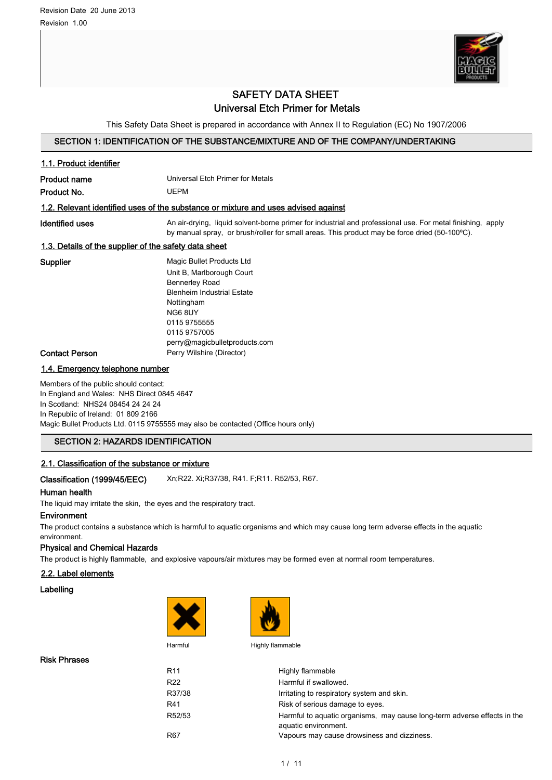

# SAFETY DATA SHEET Universal Etch Primer for Metals

This Safety Data Sheet is prepared in accordance with Annex II to Regulation (EC) No 1907/2006

# SECTION 1: IDENTIFICATION OF THE SUBSTANCE/MIXTURE AND OF THE COMPANY/UNDERTAKING

| 1.1. Product identifier                               |                                                                                                                                                                                                             |
|-------------------------------------------------------|-------------------------------------------------------------------------------------------------------------------------------------------------------------------------------------------------------------|
| Product name                                          | Universal Etch Primer for Metals                                                                                                                                                                            |
| Product No.                                           | UEPM                                                                                                                                                                                                        |
|                                                       | 1.2. Relevant identified uses of the substance or mixture and uses advised against                                                                                                                          |
| Identified uses                                       | An air-drying, liquid solvent-borne primer for industrial and professional use. For metal finishing, apply<br>by manual spray, or brush/roller for small areas. This product may be force dried (50-100°C). |
| 1.3. Details of the supplier of the safety data sheet |                                                                                                                                                                                                             |
| Supplier                                              | Magic Bullet Products Ltd                                                                                                                                                                                   |
|                                                       | Unit B, Marlborough Court                                                                                                                                                                                   |
|                                                       | <b>Bennerley Road</b>                                                                                                                                                                                       |
|                                                       | <b>Blenheim Industrial Estate</b>                                                                                                                                                                           |
|                                                       | Nottingham                                                                                                                                                                                                  |
|                                                       | NG6 8UY                                                                                                                                                                                                     |
|                                                       | 0115 9755555                                                                                                                                                                                                |
|                                                       | 0115 9757005                                                                                                                                                                                                |
|                                                       | perry@magicbulletproducts.com                                                                                                                                                                               |
| Contact Person                                        | Perry Wilshire (Director)                                                                                                                                                                                   |

# 1.4. Emergency telephone number

Members of the public should contact: In England and Wales: NHS Direct 0845 4647 In Scotland: NHS24 08454 24 24 24 In Republic of Ireland: 01 809 2166 Magic Bullet Products Ltd. 0115 9755555 may also be contacted (Office hours only)

## SECTION 2: HAZARDS IDENTIFICATION

# 2.1. Classification of the substance or mixture

# Classification (1999/45/EEC) Xn;R22. Xi;R37/38, R41. F;R11. R52/53, R67.

## Human health

The liquid may irritate the skin, the eyes and the respiratory tract.

# Environment

The product contains a substance which is harmful to aquatic organisms and which may cause long term adverse effects in the aquatic environment.

#### Physical and Chemical Hazards

The product is highly flammable, and explosive vapours/air mixtures may be formed even at normal room temperatures.

#### 2.2. Label elements

### Labelling





Harmful Highly flammable

| R <sub>11</sub> | Highly flammable                                                                                 |
|-----------------|--------------------------------------------------------------------------------------------------|
| R <sub>22</sub> | Harmful if swallowed.                                                                            |
| R37/38          | Irritating to respiratory system and skin.                                                       |
| R41             | Risk of serious damage to eyes.                                                                  |
| R52/53          | Harmful to aquatic organisms, may cause long-term adverse effects in the<br>aquatic environment. |
| R <sub>67</sub> | Vapours may cause drowsiness and dizziness.                                                      |

Risk Phrases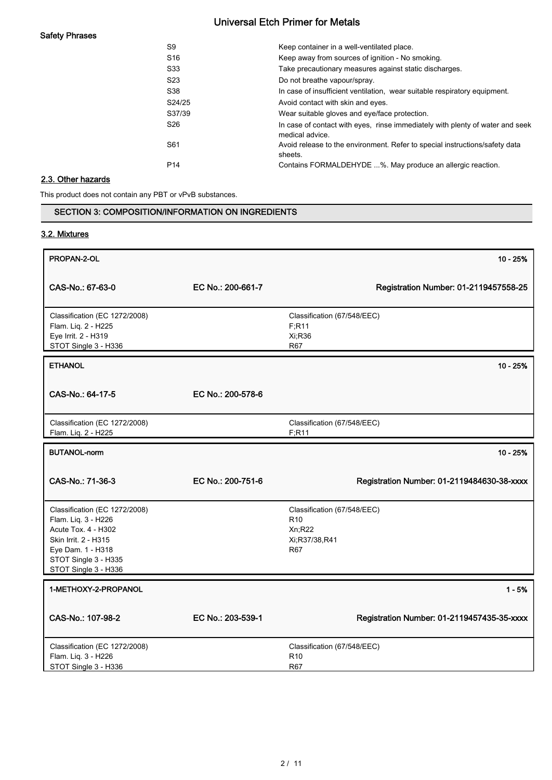# Safety Phrases

| S9              | Keep container in a well-ventilated place.                                                       |
|-----------------|--------------------------------------------------------------------------------------------------|
| S <sub>16</sub> | Keep away from sources of ignition - No smoking.                                                 |
| S33             | Take precautionary measures against static discharges.                                           |
| S <sub>23</sub> | Do not breathe vapour/spray.                                                                     |
| S38             | In case of insufficient ventilation, wear suitable respiratory equipment.                        |
| S24/25          | Avoid contact with skin and eyes.                                                                |
| S37/39          | Wear suitable gloves and eye/face protection.                                                    |
| S <sub>26</sub> | In case of contact with eyes, rinse immediately with plenty of water and seek<br>medical advice. |
| S61             | Avoid release to the environment. Refer to special instructions/safety data<br>sheets.           |
| P <sub>14</sub> | Contains FORMALDEHYDE %. May produce an allergic reaction.                                       |

# 2.3. Other hazards

This product does not contain any PBT or vPvB substances.

SECTION 3: COMPOSITION/INFORMATION ON INGREDIENTS

# 3.2. Mixtures  $\,$  PROPAN-2-OL  $\,$  10 - 25%  $\,$ CAS-No.: 67-63-0 EC No.: 200-661-7 Classification (67/548/EEC) F;R11 Xi;R36 R67 Classification (EC 1272/2008) Flam. Liq. 2 - H225 Eye Irrit. 2 - H319 STOT Single 3 - H336 Registration Number: 01-2119457558-25 ETHANOL 10 - 25% CAS-No.: 64-17-5 EC No.: 200-578-6 Classification (67/548/EEC) F;R11 Classification (EC 1272/2008) Flam. Liq. 2 - H225 BUTANOL-norm 10 - 25% CAS-No.: 71-36-3 EC No.: 200-751-6 Classification (67/548/EEC) R10 Xn;R22 Xi;R37/38,R41 R67 Classification (EC 1272/2008) Flam. Liq. 3 - H226 Acute Tox. 4 - H302 Skin Irrit. 2 - H315 Eye Dam. 1 - H318 STOT Single 3 - H335 STOT Single 3 - H336 Registration Number: 01-2119484630-38-xxxx 1-METHOXY-2-PROPANOL 2000 12000 12000 12000 12000 12000 12000 12000 12000 12000 12000 12000 12000 12000 12000 1 CAS-No.: 107-98-2 EC No.: 203-539-1 Classification (67/548/EEC) R10 R67 Classification (EC 1272/2008) Flam. Liq. 3 - H226 STOT Single 3 - H336 Registration Number: 01-2119457435-35-xxxx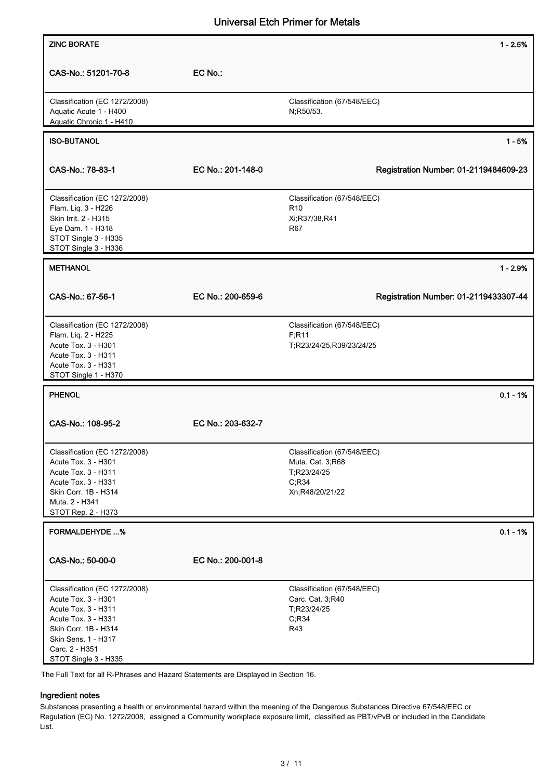| <b>ZINC BORATE</b>                                                                  |                   | $1 - 2.5%$                               |
|-------------------------------------------------------------------------------------|-------------------|------------------------------------------|
|                                                                                     |                   |                                          |
| CAS-No.: 51201-70-8                                                                 | EC No.:           |                                          |
| Classification (EC 1272/2008)<br>Aquatic Acute 1 - H400<br>Aquatic Chronic 1 - H410 |                   | Classification (67/548/EEC)<br>N;R50/53. |
| <b>ISO-BUTANOL</b>                                                                  |                   | $1 - 5%$                                 |
|                                                                                     |                   |                                          |
| CAS-No.: 78-83-1                                                                    | EC No.: 201-148-0 | Registration Number: 01-2119484609-23    |
| Classification (EC 1272/2008)                                                       |                   | Classification (67/548/EEC)              |
| Flam. Liq. 3 - H226<br>Skin Irrit. 2 - H315                                         |                   | R <sub>10</sub><br>Xi;R37/38,R41         |
| Eye Dam. 1 - H318                                                                   |                   | R67                                      |
| STOT Single 3 - H335<br>STOT Single 3 - H336                                        |                   |                                          |
| <b>METHANOL</b>                                                                     |                   | $1 - 2.9%$                               |
|                                                                                     |                   |                                          |
| CAS-No.: 67-56-1                                                                    | EC No.: 200-659-6 | Registration Number: 01-2119433307-44    |
| Classification (EC 1272/2008)                                                       |                   | Classification (67/548/EEC)              |
| Flam. Liq. 2 - H225<br>Acute Tox. 3 - H301                                          |                   | F; R11<br>T;R23/24/25,R39/23/24/25       |
| Acute Tox. 3 - H311                                                                 |                   |                                          |
| Acute Tox. 3 - H331                                                                 |                   |                                          |
| STOT Single 1 - H370                                                                |                   |                                          |
| <b>PHENOL</b>                                                                       |                   | $0.1 - 1%$                               |
| CAS-No.: 108-95-2                                                                   | EC No.: 203-632-7 |                                          |
| Classification (EC 1272/2008)                                                       |                   | Classification (67/548/EEC)              |
| Acute Tox. 3 - H301<br>Acute Tox. 3 - H311                                          |                   | Muta. Cat. 3;R68<br>T:R23/24/25          |
| Acute Tox. 3 - H331                                                                 |                   | C; R34                                   |
| Skin Corr. 1B - H314                                                                |                   | Xn;R48/20/21/22                          |
| Muta. 2 - H341<br>STOT Rep. 2 - H373                                                |                   |                                          |
| <b>FORMALDEHYDE %</b>                                                               |                   | $0.1 - 1%$                               |
|                                                                                     |                   |                                          |
| CAS-No.: 50-00-0                                                                    | EC No.: 200-001-8 |                                          |
| Classification (EC 1272/2008)                                                       |                   | Classification (67/548/EEC)              |
| Acute Tox. 3 - H301<br>Acute Tox. 3 - H311                                          |                   | Carc. Cat. 3,R40<br>T;R23/24/25          |
| Acute Tox. 3 - H331                                                                 |                   | C; R34                                   |
| Skin Corr. 1B - H314                                                                |                   | R43                                      |
| Skin Sens. 1 - H317                                                                 |                   |                                          |
| Carc. 2 - H351<br>STOT Single 3 - H335                                              |                   |                                          |
| The Full Text for all R-Phrases and Hazard Statements are Displayed in Section 16.  |                   |                                          |

# Ingredient notes

Substances presenting a health or environmental hazard within the meaning of the Dangerous Substances Directive 67/548/EEC or Regulation (EC) No. 1272/2008, assigned a Community workplace exposure limit, classified as PBT/vPvB or included in the Candidate List.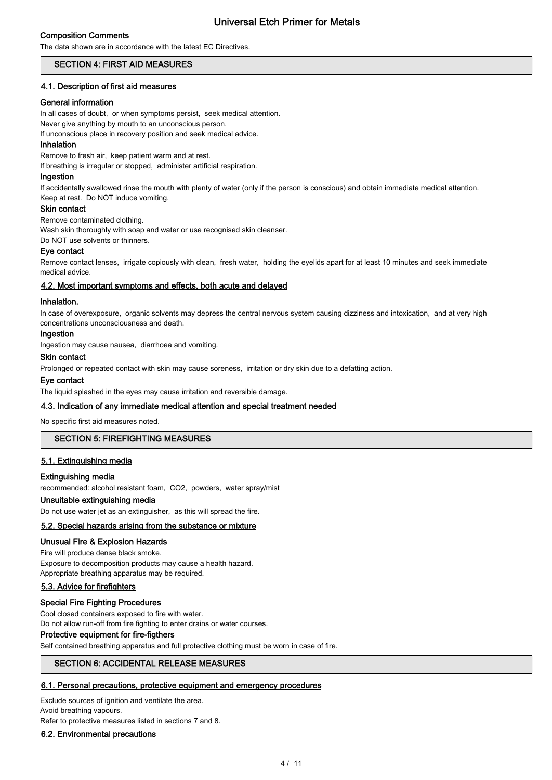# Composition Comments

The data shown are in accordance with the latest EC Directives.

# SECTION 4: FIRST AID MEASURES

## 4.1. Description of first aid measures

#### General information

In all cases of doubt, or when symptoms persist, seek medical attention. Never give anything by mouth to an unconscious person. If unconscious place in recovery position and seek medical advice.

#### Inhalation

Remove to fresh air, keep patient warm and at rest.

If breathing is irregular or stopped, administer artificial respiration.

#### Ingestion

If accidentally swallowed rinse the mouth with plenty of water (only if the person is conscious) and obtain immediate medical attention. Keep at rest. Do NOT induce vomiting.

#### Skin contact

Remove contaminated clothing.

Wash skin thoroughly with soap and water or use recognised skin cleanser.

Do NOT use solvents or thinners.

## Eye contact

Remove contact lenses, irrigate copiously with clean, fresh water, holding the eyelids apart for at least 10 minutes and seek immediate medical advice.

## 4.2. Most important symptoms and effects, both acute and delayed

#### Inhalation.

In case of overexposure, organic solvents may depress the central nervous system causing dizziness and intoxication, and at very high concentrations unconsciousness and death.

#### Ingestion

Ingestion may cause nausea, diarrhoea and vomiting.

# Skin contact

Prolonged or repeated contact with skin may cause soreness, irritation or dry skin due to a defatting action.

# Eye contact

The liquid splashed in the eyes may cause irritation and reversible damage.

# 4.3. Indication of any immediate medical attention and special treatment needed

No specific first aid measures noted.

# SECTION 5: FIREFIGHTING MEASURES

## 5.1. Extinguishing media

## Extinguishing media

recommended: alcohol resistant foam, CO2, powders, water spray/mist

# Unsuitable extinguishing media

Do not use water jet as an extinguisher, as this will spread the fire.

# 5.2. Special hazards arising from the substance or mixture

## Unusual Fire & Explosion Hazards

Fire will produce dense black smoke. Exposure to decomposition products may cause a health hazard. Appropriate breathing apparatus may be required.

# 5.3. Advice for firefighters

#### Special Fire Fighting Procedures

Cool closed containers exposed to fire with water.

Do not allow run-off from fire fighting to enter drains or water courses.

## Protective equipment for fire-figthers

Self contained breathing apparatus and full protective clothing must be worn in case of fire.

# SECTION 6: ACCIDENTAL RELEASE MEASURES

## 6.1. Personal precautions, protective equipment and emergency procedures

Exclude sources of ignition and ventilate the area.

Avoid breathing vapours. Refer to protective measures listed in sections 7 and 8.

## 6.2. Environmental precautions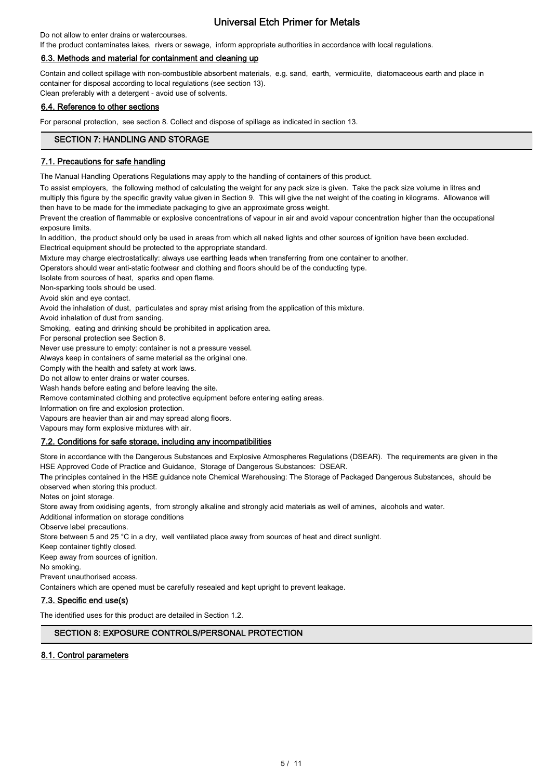## Do not allow to enter drains or watercourses.

If the product contaminates lakes, rivers or sewage, inform appropriate authorities in accordance with local regulations.

## 6.3. Methods and material for containment and cleaning up

Contain and collect spillage with non-combustible absorbent materials, e.g. sand, earth, vermiculite, diatomaceous earth and place in container for disposal according to local regulations (see section 13). Clean preferably with a detergent - avoid use of solvents.

## 6.4. Reference to other sections

For personal protection, see section 8. Collect and dispose of spillage as indicated in section 13.

# SECTION 7: HANDLING AND STORAGE

## 7.1. Precautions for safe handling

The Manual Handling Operations Regulations may apply to the handling of containers of this product.

To assist employers, the following method of calculating the weight for any pack size is given. Take the pack size volume in litres and multiply this figure by the specific gravity value given in Section 9. This will give the net weight of the coating in kilograms. Allowance will then have to be made for the immediate packaging to give an approximate gross weight.

Prevent the creation of flammable or explosive concentrations of vapour in air and avoid vapour concentration higher than the occupational exposure limits.

In addition, the product should only be used in areas from which all naked lights and other sources of ignition have been excluded. Electrical equipment should be protected to the appropriate standard.

Mixture may charge electrostatically: always use earthing leads when transferring from one container to another.

Operators should wear anti-static footwear and clothing and floors should be of the conducting type.

Isolate from sources of heat, sparks and open flame.

Non-sparking tools should be used.

Avoid skin and eye contact.

Avoid the inhalation of dust, particulates and spray mist arising from the application of this mixture.

Avoid inhalation of dust from sanding.

Smoking, eating and drinking should be prohibited in application area.

For personal protection see Section 8.

Never use pressure to empty: container is not a pressure vessel.

Always keep in containers of same material as the original one.

Comply with the health and safety at work laws.

Do not allow to enter drains or water courses.

Wash hands before eating and before leaving the site.

Remove contaminated clothing and protective equipment before entering eating areas.

Information on fire and explosion protection.

Vapours are heavier than air and may spread along floors.

Vapours may form explosive mixtures with air.

## 7.2. Conditions for safe storage, including any incompatibilities

Store in accordance with the Dangerous Substances and Explosive Atmospheres Regulations (DSEAR). The requirements are given in the HSE Approved Code of Practice and Guidance, Storage of Dangerous Substances: DSEAR.

The principles contained in the HSE guidance note Chemical Warehousing: The Storage of Packaged Dangerous Substances, should be observed when storing this product.

Notes on joint storage.

Store away from oxidising agents, from strongly alkaline and strongly acid materials as well of amines, alcohols and water.

Additional information on storage conditions

Observe label precautions.

Store between 5 and 25 °C in a dry, well ventilated place away from sources of heat and direct sunlight.

Keep container tightly closed.

Keep away from sources of ignition.

No smoking.

Prevent unauthorised access.

Containers which are opened must be carefully resealed and kept upright to prevent leakage.

# 7.3. Specific end use(s)

The identified uses for this product are detailed in Section 1.2.

# SECTION 8: EXPOSURE CONTROLS/PERSONAL PROTECTION

# 8.1. Control parameters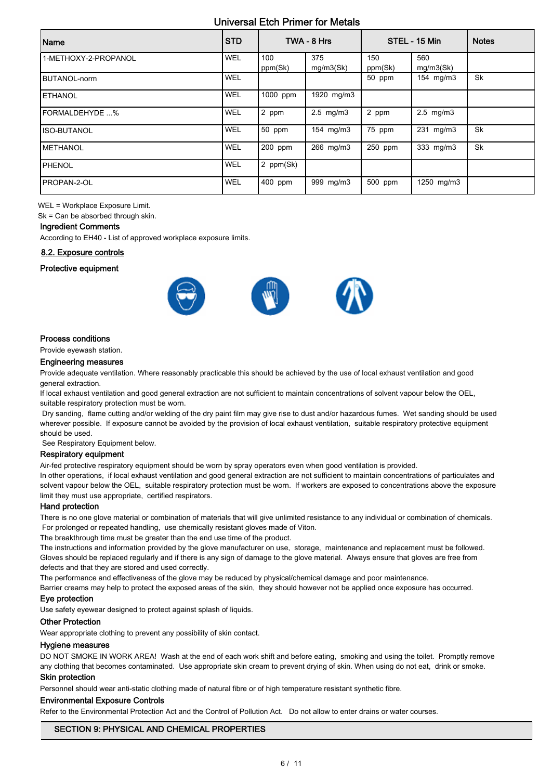| Name                 | <b>STD</b> |                | TWA - 8 Hrs      |                | STEL - 15 Min    | <b>Notes</b> |
|----------------------|------------|----------------|------------------|----------------|------------------|--------------|
| 1-METHOXY-2-PROPANOL | WEL        | 100<br>ppm(Sk) | 375<br>mg/m3(Sk) | 150<br>ppm(Sk) | 560<br>mg/m3(Sk) |              |
| BUTANOL-norm         | WEL        |                |                  | 50 ppm         | 154 mg/m3        | <b>Sk</b>    |
| <b>IETHANOL</b>      | WEL        | 1000 ppm       | 1920 mg/m3       |                |                  |              |
| IFORMALDEHYDE %      | <b>WEL</b> | 2 ppm          | $2.5$ mg/m $3$   | 2 ppm          | $2.5$ mg/m $3$   |              |
| IISO-BUTANOL         | <b>WEL</b> | 50 ppm         | 154 mg/m3        | 75 ppm         | 231 mg/m3        | <b>Sk</b>    |
| <b>IMETHANOL</b>     | <b>WEL</b> | 200 ppm        | 266 mg/m3        | 250 ppm        | 333 mg/m3        | <b>Sk</b>    |
| PHENOL               | WEL        | 2 ppm(Sk)      |                  |                |                  |              |
| IPROPAN-2-OL         | WEL        | 400 ppm        | 999 mg/m3        | 500 ppm        | 1250 mg/m3       |              |

WEL = Workplace Exposure Limit.

Sk = Can be absorbed through skin.

# Ingredient Comments

According to EH40 - List of approved workplace exposure limits.

#### 8.2. Exposure controls

#### Protective equipment



## Process conditions

Provide eyewash station.

#### Engineering measures

Provide adequate ventilation. Where reasonably practicable this should be achieved by the use of local exhaust ventilation and good general extraction.

If local exhaust ventilation and good general extraction are not sufficient to maintain concentrations of solvent vapour below the OEL, suitable respiratory protection must be worn.

 Dry sanding, flame cutting and/or welding of the dry paint film may give rise to dust and/or hazardous fumes. Wet sanding should be used wherever possible. If exposure cannot be avoided by the provision of local exhaust ventilation, suitable respiratory protective equipment should be used.

See Respiratory Equipment below.

## Respiratory equipment

Air-fed protective respiratory equipment should be worn by spray operators even when good ventilation is provided.

In other operations, if local exhaust ventilation and good general extraction are not sufficient to maintain concentrations of particulates and solvent vapour below the OEL, suitable respiratory protection must be worn. If workers are exposed to concentrations above the exposure limit they must use appropriate, certified respirators.

#### Hand protection

There is no one glove material or combination of materials that will give unlimited resistance to any individual or combination of chemicals. For prolonged or repeated handling, use chemically resistant gloves made of Viton.

The breakthrough time must be greater than the end use time of the product.

The instructions and information provided by the glove manufacturer on use, storage, maintenance and replacement must be followed. Gloves should be replaced regularly and if there is any sign of damage to the glove material. Always ensure that gloves are free from defects and that they are stored and used correctly.

The performance and effectiveness of the glove may be reduced by physical/chemical damage and poor maintenance.

Barrier creams may help to protect the exposed areas of the skin, they should however not be applied once exposure has occurred.

#### Eye protection

Use safety eyewear designed to protect against splash of liquids.

#### Other Protection

Wear appropriate clothing to prevent any possibility of skin contact.

#### Hygiene measures

DO NOT SMOKE IN WORK AREA! Wash at the end of each work shift and before eating, smoking and using the toilet. Promptly remove any clothing that becomes contaminated. Use appropriate skin cream to prevent drying of skin. When using do not eat, drink or smoke.

#### Skin protection

Personnel should wear anti-static clothing made of natural fibre or of high temperature resistant synthetic fibre.

### Environmental Exposure Controls

Refer to the Environmental Protection Act and the Control of Pollution Act. Do not allow to enter drains or water courses.

# SECTION 9: PHYSICAL AND CHEMICAL PROPERTIES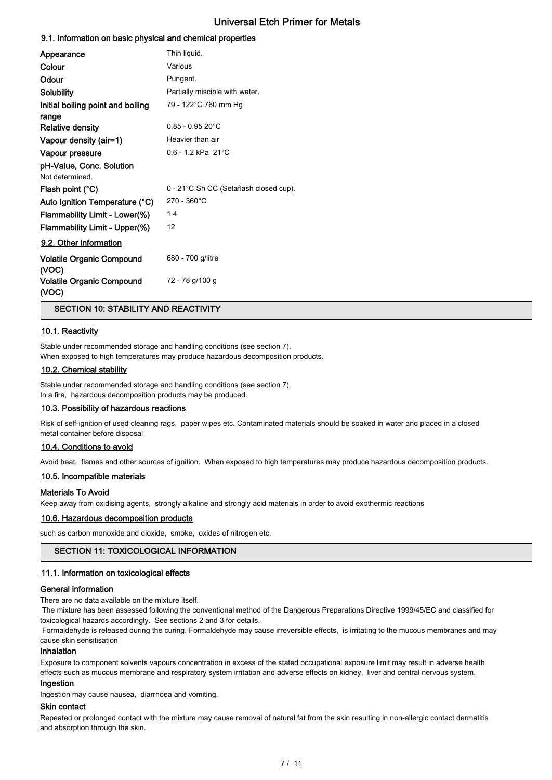# 9.1. Information on basic physical and chemical properties

| Appearance                                 | Thin liquid.                           |
|--------------------------------------------|----------------------------------------|
| Colour                                     | Various                                |
| Odour                                      | Pungent.                               |
| <b>Solubility</b>                          | Partially miscible with water.         |
| Initial boiling point and boiling<br>range | 79 - 122°C 760 mm Hg                   |
| <b>Relative density</b>                    | $0.85 - 0.95 20^{\circ}$ C             |
| Vapour density (air=1)                     | Heavier than air                       |
| Vapour pressure                            | $0.6 - 1.2$ kPa $21^{\circ}$ C         |
| pH-Value, Conc. Solution                   |                                        |
| Not determined.                            |                                        |
| Flash point (°C)                           | 0 - 21°C Sh CC (Setaflash closed cup). |
| Auto Ignition Temperature (°C)             | $270 - 360^{\circ}$ C                  |
| Flammability Limit - Lower(%)              | 1.4                                    |
| Flammability Limit - Upper(%)              | 12                                     |
| 9.2. Other information                     |                                        |
| <b>Volatile Organic Compound</b><br>(VOC)  | 680 - 700 g/litre                      |
| <b>Volatile Organic Compound</b><br>(VOC)  | 72 - 78 g/100 g                        |

SECTION 10: STABILITY AND REACTIVITY

# 10.1. Reactivity

Stable under recommended storage and handling conditions (see section 7). When exposed to high temperatures may produce hazardous decomposition products.

#### 10.2. Chemical stability

Stable under recommended storage and handling conditions (see section 7). In a fire, hazardous decomposition products may be produced.

#### 10.3. Possibility of hazardous reactions

Risk of self-ignition of used cleaning rags, paper wipes etc. Contaminated materials should be soaked in water and placed in a closed metal container before disposal

## 10.4. Conditions to avoid

Avoid heat, flames and other sources of ignition. When exposed to high temperatures may produce hazardous decomposition products.

## 10.5. Incompatible materials

## Materials To Avoid

Keep away from oxidising agents, strongly alkaline and strongly acid materials in order to avoid exothermic reactions

# 10.6. Hazardous decomposition products

such as carbon monoxide and dioxide, smoke, oxides of nitrogen etc.

#### SECTION 11: TOXICOLOGICAL INFORMATION

#### 11.1. Information on toxicological effects

## General information

There are no data available on the mixture itself.

 The mixture has been assessed following the conventional method of the Dangerous Preparations Directive 1999/45/EC and classified for toxicological hazards accordingly. See sections 2 and 3 for details.

 Formaldehyde is released during the curing. Formaldehyde may cause irreversible effects, is irritating to the mucous membranes and may cause skin sensitisation

# Inhalation

Exposure to component solvents vapours concentration in excess of the stated occupational exposure limit may result in adverse health effects such as mucous membrane and respiratory system irritation and adverse effects on kidney, liver and central nervous system.

#### Ingestion

Ingestion may cause nausea, diarrhoea and vomiting.

# Skin contact

Repeated or prolonged contact with the mixture may cause removal of natural fat from the skin resulting in non-allergic contact dermatitis and absorption through the skin.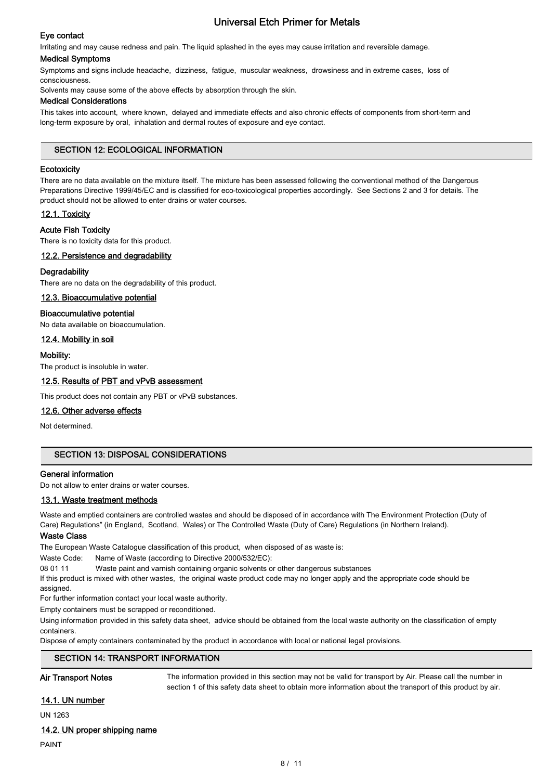# Eye contact

Irritating and may cause redness and pain. The liquid splashed in the eyes may cause irritation and reversible damage.

#### Medical Symptoms

Symptoms and signs include headache, dizziness, fatigue, muscular weakness, drowsiness and in extreme cases, loss of consciousness.

Solvents may cause some of the above effects by absorption through the skin.

## Medical Considerations

This takes into account, where known, delayed and immediate effects and also chronic effects of components from short-term and long-term exposure by oral, inhalation and dermal routes of exposure and eye contact.

# SECTION 12: ECOLOGICAL INFORMATION

## **Ecotoxicity**

There are no data available on the mixture itself. The mixture has been assessed following the conventional method of the Dangerous Preparations Directive 1999/45/EC and is classified for eco-toxicological properties accordingly. See Sections 2 and 3 for details. The product should not be allowed to enter drains or water courses.

# 12.1. Toxicity

# Acute Fish Toxicity

There is no toxicity data for this product.

# 12.2. Persistence and degradability

# **Degradability**

There are no data on the degradability of this product.

## 12.3. Bioaccumulative potential

## Bioaccumulative potential

No data available on bioaccumulation.

# 12.4. Mobility in soil

## Mobility:

The product is insoluble in water.

# 12.5. Results of PBT and vPvB assessment

This product does not contain any PBT or vPvB substances.

## 12.6. Other adverse effects

Not determined.

# SECTION 13: DISPOSAL CONSIDERATIONS

## General information

Do not allow to enter drains or water courses.

## 13.1. Waste treatment methods

Waste and emptied containers are controlled wastes and should be disposed of in accordance with The Environment Protection (Duty of Care) Regulations" (in England, Scotland, Wales) or The Controlled Waste (Duty of Care) Regulations (in Northern Ireland).

## Waste Class

The European Waste Catalogue classification of this product, when disposed of as waste is:

Waste Code: Name of Waste (according to Directive 2000/532/EC):

08 01 11 Waste paint and varnish containing organic solvents or other dangerous substances

If this product is mixed with other wastes, the original waste product code may no longer apply and the appropriate code should be

assigned

For further information contact your local waste authority.

Empty containers must be scrapped or reconditioned.

Using information provided in this safety data sheet, advice should be obtained from the local waste authority on the classification of empty containers.

Dispose of empty containers contaminated by the product in accordance with local or national legal provisions.

## SECTION 14: TRANSPORT INFORMATION

Air Transport Notes The information provided in this section may not be valid for transport by Air. Please call the number in section 1 of this safety data sheet to obtain more information about the transport of this product by air.

# 14.1. UN number

UN 1263

## 14.2. UN proper shipping name

## PAINT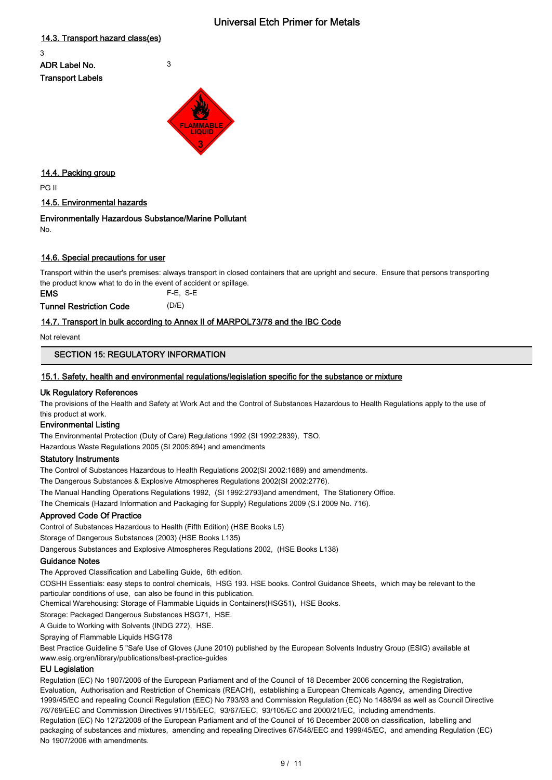# 14.3. Transport hazard class(es)

3 ADR Label No. 3 Transport Labels



# 14.4. Packing group

PG II

# 14.5. Environmental hazards

# Environmentally Hazardous Substance/Marine Pollutant

No.

# 14.6. Special precautions for user

Transport within the user's premises: always transport in closed containers that are upright and secure. Ensure that persons transporting the product know what to do in the event of accident or spillage.

EMS F-E, S-E Tunnel Restriction Code (D/E)

# 14.7. Transport in bulk according to Annex II of MARPOL73/78 and the IBC Code

Not relevant

# SECTION 15: REGULATORY INFORMATION

# 15.1. Safety, health and environmental regulations/legislation specific for the substance or mixture

# Uk Regulatory References

The provisions of the Health and Safety at Work Act and the Control of Substances Hazardous to Health Regulations apply to the use of this product at work.

# Environmental Listing

The Environmental Protection (Duty of Care) Regulations 1992 (SI 1992:2839), TSO.

Hazardous Waste Regulations 2005 (SI 2005:894) and amendments

# Statutory Instruments

The Control of Substances Hazardous to Health Regulations 2002(SI 2002:1689) and amendments.

The Dangerous Substances & Explosive Atmospheres Regulations 2002(SI 2002:2776).

The Manual Handling Operations Regulations 1992, (SI 1992:2793)and amendment, The Stationery Office.

The Chemicals (Hazard Information and Packaging for Supply) Regulations 2009 (S.I 2009 No. 716).

# Approved Code Of Practice

Control of Substances Hazardous to Health (Fifth Edition) (HSE Books L5)

Storage of Dangerous Substances (2003) (HSE Books L135)

Dangerous Substances and Explosive Atmospheres Regulations 2002, (HSE Books L138)

# Guidance Notes

The Approved Classification and Labelling Guide, 6th edition.

COSHH Essentials: easy steps to control chemicals, HSG 193. HSE books. Control Guidance Sheets, which may be relevant to the particular conditions of use, can also be found in this publication.

Chemical Warehousing: Storage of Flammable Liquids in Containers(HSG51), HSE Books.

Storage: Packaged Dangerous Substances HSG71, HSE.

A Guide to Working with Solvents (INDG 272), HSE.

Spraying of Flammable Liquids HSG178

Best Practice Guideline 5 "Safe Use of Gloves (June 2010) published by the European Solvents Industry Group (ESIG) available at www.esig.org/en/library/publications/best-practice-guides

# EU Legislation

Regulation (EC) No 1907/2006 of the European Parliament and of the Council of 18 December 2006 concerning the Registration, Evaluation, Authorisation and Restriction of Chemicals (REACH), establishing a European Chemicals Agency, amending Directive 1999/45/EC and repealing Council Regulation (EEC) No 793/93 and Commission Regulation (EC) No 1488/94 as well as Council Directive 76/769/EEC and Commission Directives 91/155/EEC, 93/67/EEC, 93/105/EC and 2000/21/EC, including amendments. Regulation (EC) No 1272/2008 of the European Parliament and of the Council of 16 December 2008 on classification, labelling and packaging of substances and mixtures, amending and repealing Directives 67/548/EEC and 1999/45/EC, and amending Regulation (EC) No 1907/2006 with amendments.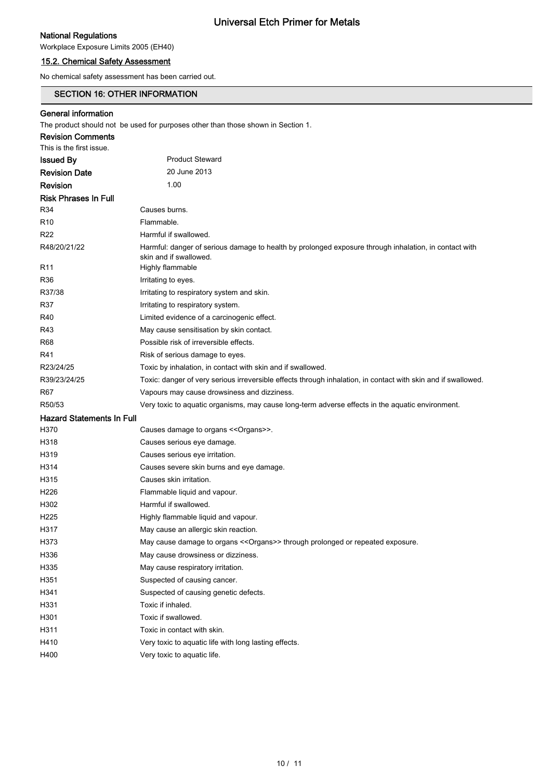# National Regulations

Workplace Exposure Limits 2005 (EH40)

# 15.2. Chemical Safety Assessment

No chemical safety assessment has been carried out.

# SECTION 16: OTHER INFORMATION

# General information

The product should not be used for purposes other than those shown in Section 1.

| <b>Revision Comments</b>         |                                                                                                                                 |
|----------------------------------|---------------------------------------------------------------------------------------------------------------------------------|
| This is the first issue.         |                                                                                                                                 |
| <b>Issued By</b>                 | <b>Product Steward</b>                                                                                                          |
| <b>Revision Date</b>             | 20 June 2013                                                                                                                    |
| Revision                         | 1.00                                                                                                                            |
| <b>Risk Phrases In Full</b>      |                                                                                                                                 |
| R34                              | Causes burns.                                                                                                                   |
| R <sub>10</sub>                  | Flammable.                                                                                                                      |
| R <sub>22</sub>                  | Harmful if swallowed.                                                                                                           |
| R48/20/21/22                     | Harmful: danger of serious damage to health by prolonged exposure through inhalation, in contact with<br>skin and if swallowed. |
| R <sub>11</sub>                  | Highly flammable                                                                                                                |
| R36                              | Irritating to eyes.                                                                                                             |
| R37/38                           | Irritating to respiratory system and skin.                                                                                      |
| R37                              | Irritating to respiratory system.                                                                                               |
| R40                              | Limited evidence of a carcinogenic effect.                                                                                      |
| R43                              | May cause sensitisation by skin contact.                                                                                        |
| R68                              | Possible risk of irreversible effects.                                                                                          |
| R41                              | Risk of serious damage to eyes.                                                                                                 |
| R23/24/25                        | Toxic by inhalation, in contact with skin and if swallowed.                                                                     |
| R39/23/24/25                     | Toxic: danger of very serious irreversible effects through inhalation, in contact with skin and if swallowed.                   |
| R67                              | Vapours may cause drowsiness and dizziness.                                                                                     |
| R50/53                           | Very toxic to aquatic organisms, may cause long-term adverse effects in the aquatic environment.                                |
| <b>Hazard Statements In Full</b> |                                                                                                                                 |
| H370                             | Causes damage to organs << Organs>>.                                                                                            |
| H318                             | Causes serious eye damage.                                                                                                      |
| H319                             | Causes serious eye irritation.                                                                                                  |
| H314                             | Causes severe skin burns and eye damage.                                                                                        |
| H315                             | Causes skin irritation.                                                                                                         |
| H <sub>226</sub>                 | Flammable liquid and vapour.                                                                                                    |
| H302                             | Harmful if swallowed.                                                                                                           |
| H <sub>225</sub>                 | Highly flammable liquid and vapour.                                                                                             |
| H317                             | May cause an allergic skin reaction.                                                                                            |
| H373                             | May cause damage to organs << Organs>> through prolonged or repeated exposure.                                                  |
| H336                             | May cause drowsiness or dizziness.                                                                                              |
| H335                             | May cause respiratory irritation.                                                                                               |
| H351                             | Suspected of causing cancer.                                                                                                    |
| H341                             | Suspected of causing genetic defects.                                                                                           |
| H331                             | Toxic if inhaled.                                                                                                               |
| H301                             | Toxic if swallowed.                                                                                                             |
| H311                             | Toxic in contact with skin.                                                                                                     |
| H410                             | Very toxic to aquatic life with long lasting effects.                                                                           |
| H400                             | Very toxic to aquatic life.                                                                                                     |